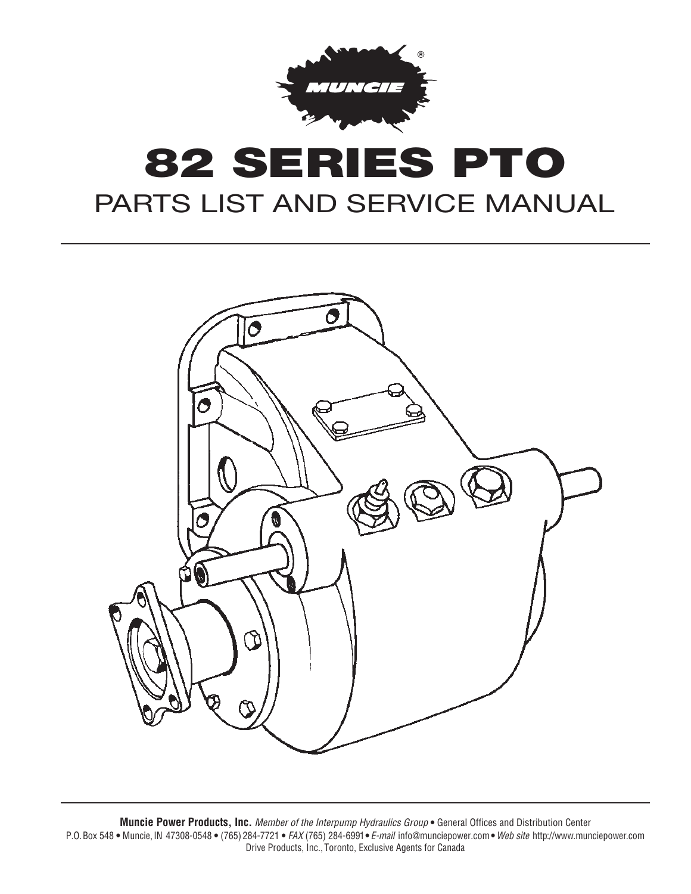

# **82 SERIES PTO** PARTS LIST AND SERVICE MANUAL



**Muncie Power Products, Inc.** *Member of the Interpump Hydraulics Group* **•** General Offices and Distribution Center P.O.Box 548 **•** Muncie, IN 47308-0548 **•** (765) 284-7721 **•** *FAX* (765) 284-6991**•** *E-mail* info@munciepower.com**•** *Web site* http://www.munciepower.com Drive Products, Inc., Toronto, Exclusive Agents for Canada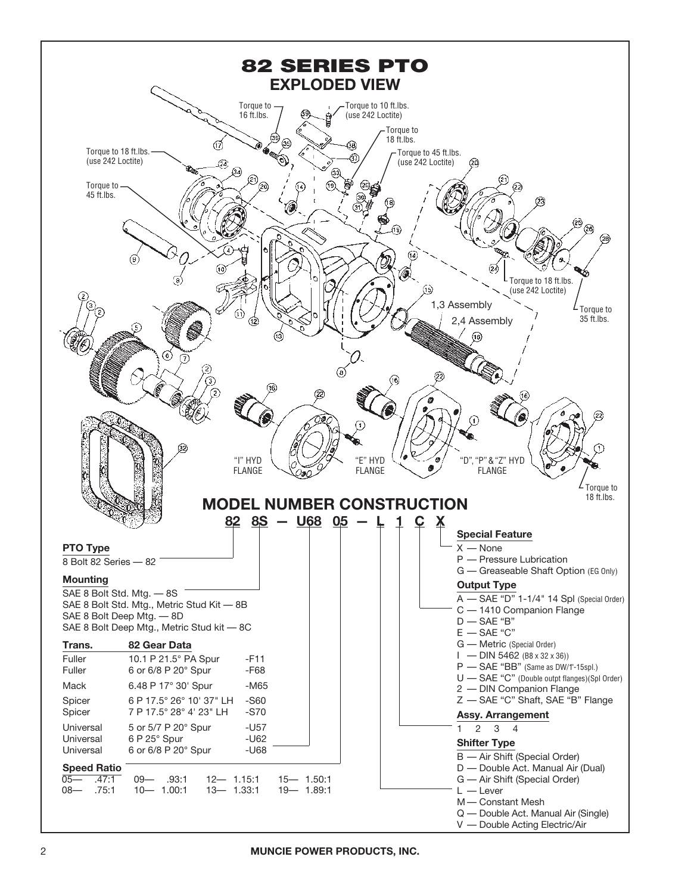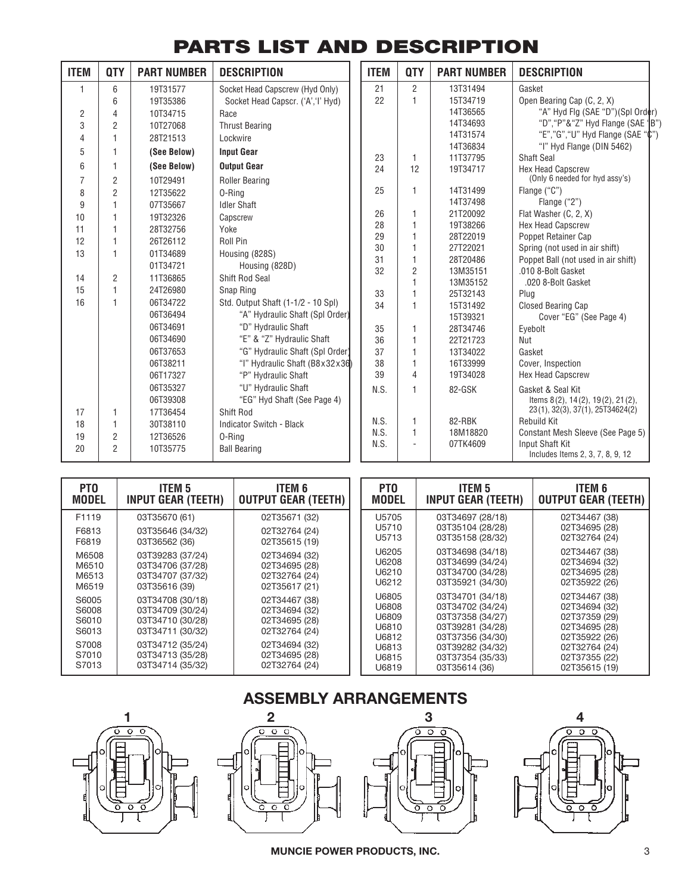# **PARTS LIST AND DESCRIPTION**

| <b>ITEM</b>    | <b>QTY</b>     | <b>PART NUMBER</b> | <b>DESCRIPTION</b>                 | <b>ITEM</b> | <b>QTY</b>     | <b>PART NUMBER</b>   | <b>DESCRIPTION</b>                                   |
|----------------|----------------|--------------------|------------------------------------|-------------|----------------|----------------------|------------------------------------------------------|
| 1              | 6              | 19T31577           | Socket Head Capscrew (Hyd Only)    | 21          | 2              | 13T31494             | Gasket                                               |
|                | 6              | 19T35386           | Socket Head Capscr. ('A','I' Hyd)  | 22          | 1              | 15T34719             | Open Bearing Cap (C, 2, X)                           |
| $\overline{2}$ | $\overline{4}$ | 10T34715           | Race                               |             |                | 14T36565             | "A" Hyd Flg (SAE "D")(Spl Order)                     |
| 3              | $\overline{2}$ | 10T27068           | <b>Thrust Bearing</b>              |             |                | 14T34693             | "D", "P"& "Z" Hyd Flange (SAE 'B")                   |
| Δ              |                | 28T21513           | Lockwire                           |             |                | 14T31574             | "E","G","U" Hyd Flange (SAE " $(\psi$ ")             |
| 5              |                | (See Below)        | <b>Input Gear</b>                  |             |                | 14T36834             | "I" Hyd Flange (DIN 5462)                            |
| 6              |                | (See Below)        | <b>Output Gear</b>                 | 23<br>24    | 1<br>12        | 11T37795<br>19T34717 | <b>Shaft Seal</b><br>Hex Head Capscrew               |
| 7              | $\overline{2}$ | 10T29491           | <b>Roller Bearing</b>              |             |                |                      | (Only 6 needed for hyd assy's)                       |
| 8              | $\overline{2}$ | 12T35622           | 0-Ring                             | 25          | 1              | 14T31499             | Flange ("C")                                         |
| 9              |                | 07T35667           | <b>Idler Shaft</b>                 |             |                | 14T37498             | Flange ("2")                                         |
| 10             |                | 19T32326           | Capscrew                           | 26          | 1              | 21T20092             | Flat Washer (C, 2, X)                                |
| 11             | $\overline{1}$ | 28T32756           | Yoke                               | 28          | 1              | 19T38266             | Hex Head Capscrew                                    |
| 12             | $\mathbf 1$    | 26T26112           | Roll Pin                           | 29          | 1              | 28T22019             | Poppet Retainer Cap                                  |
| 13             | $\overline{1}$ | 01T34689           | Housing (828S)                     | 30          | 1              | 27T22021             | Spring (not used in air shift)                       |
|                |                | 01T34721           | Housing (828D)                     | 31          | 1              | 28T20486             | Poppet Ball (not used in air shift)                  |
| 14             | $\overline{2}$ | 11T36865           | <b>Shift Rod Seal</b>              | 32          | $\overline{2}$ | 13M35151             | .010 8-Bolt Gasket                                   |
| 15             | $\overline{1}$ | 24T26980           | Snap Ring                          |             | 1              | 13M35152             | .020 8-Bolt Gasket                                   |
| 16             | $\overline{1}$ | 06T34722           | Std. Output Shaft (1-1/2 - 10 Spl) | 33          | 1              | 25T32143             | Plua                                                 |
|                |                | 06T36494           |                                    | 34          | 1              | 15T31492             | <b>Closed Bearing Cap</b>                            |
|                |                |                    | "A" Hydraulic Shaft (Spl Order)    |             |                | 15T39321             | Cover "EG" (See Page 4)                              |
|                |                | 06T34691           | "D" Hydraulic Shaft                | 35          | 1              | 28T34746             | Eyebolt                                              |
|                |                | 06T34690           | "E" & "Z" Hydraulic Shaft          | 36          | 1              | 22T21723             | Nut                                                  |
|                |                | 06T37653           | "G" Hydraulic Shaft (Spl Order)    | 37          | 1              | 13T34022             | Gasket                                               |
|                |                | 06T38211           | "I" Hydraulic Shaft (B8x32x36)     | 38          | 1              | 16T33999             | Cover, Inspection                                    |
|                |                | 06T17327           | "P" Hydraulic Shaft                | 39          | 4              | 19T34028             | Hex Head Capscrew                                    |
|                |                | 06T35327           | "U" Hydraulic Shaft                | N.S.        | 1              | 82-GSK               | Gasket & Seal Kit                                    |
|                |                | 06T39308           | "EG" Hyd Shaft (See Page 4)        |             |                |                      | Items 8(2), 14(2), 19(2), 21(2),                     |
| 17             | $\mathbf{1}$   | 17T36454           | Shift Rod                          | N.S.        |                | 82-RBK               | 23(1), 32(3), 37(1), 25T34624(2)<br>Rebuild Kit      |
| 18             | $\mathbf{1}$   | 30T38110           | <b>Indicator Switch - Black</b>    | N.S.        | 1<br>1         | 18M18820             |                                                      |
| 19             | $\overline{2}$ | 12T36526           | 0-Ring                             | N.S.        |                | 07TK4609             | Constant Mesh Sleeve (See Page 5)<br>Input Shaft Kit |
| 20             | $\overline{2}$ | 10T35775           | <b>Ball Bearing</b>                |             |                |                      | Includes Items 2, 3, 7, 8, 9, 12                     |

| PT <sub>0</sub>                  | <b>ITEM 5</b>                                                                | <b>ITEM 6</b>                                                    | PT <sub>0</sub>                           | <b>ITEM 5</b>                                                                                    | <b>ITEM 6</b>                                                                     |
|----------------------------------|------------------------------------------------------------------------------|------------------------------------------------------------------|-------------------------------------------|--------------------------------------------------------------------------------------------------|-----------------------------------------------------------------------------------|
| <b>MODEL</b>                     | <b>INPUT GEAR (TEETH)</b>                                                    | <b>OUTPUT GEAR (TEETH)</b>                                       | <b>MODEL</b>                              | <b>INPUT GEAR (TEETH)</b>                                                                        | <b>OUTPUT GEAR (TEETH)</b>                                                        |
| F1119                            | 03T35670 (61)                                                                | 02T35671 (32)                                                    | U5705                                     | 03T34697 (28/18)                                                                                 | 02T34467 (38)                                                                     |
| F6813                            | 03T35646 (34/32)                                                             | 02T32764 (24)                                                    | U5710                                     | 03T35104 (28/28)                                                                                 | 02T34695 (28)                                                                     |
| F6819                            | 03T36562 (36)                                                                | 02T35615 (19)                                                    | U5713                                     | 03T35158 (28/32)                                                                                 | 02T32764 (24)                                                                     |
| M6508                            | 03T39283 (37/24)                                                             | 02T34694 (32)                                                    | U6205                                     | 03T34698 (34/18)                                                                                 | 02T34467 (38)                                                                     |
| M6510                            | 03T34706 (37/28)                                                             | 02T34695 (28)                                                    | U6208                                     | 03T34699 (34/24)                                                                                 | 02T34694 (32)                                                                     |
| M6513                            | 03T34707 (37/32)                                                             | 02T32764 (24)                                                    | U6210                                     | 03T34700 (34/28)                                                                                 | 02T34695 (28)                                                                     |
| M6519                            | 03T35616 (39)                                                                | 02T35617 (21)                                                    | U6212                                     | 03T35921 (34/30)                                                                                 | 02T35922 (26)                                                                     |
| S6005<br>S6008<br>S6010<br>S6013 | 03T34708 (30/18)<br>03T34709 (30/24)<br>03T34710 (30/28)<br>03T34711 (30/32) | 02T34467 (38)<br>02T34694 (32)<br>02T34695 (28)<br>02T32764 (24) | U6805<br>U6808<br>U6809<br>U6810<br>U6812 | 03T34701 (34/18)<br>03T34702 (34/24)<br>03T37358 (34/27)<br>03T39281 (34/28)<br>03T37356 (34/30) | 02T34467 (38)<br>02T34694 (32)<br>02T37359 (29)<br>02T34695 (28)<br>02T35922 (26) |
| S7008                            | 03T34712 (35/24)                                                             | 02T34694 (32)                                                    | U6813                                     | 03T39282 (34/32)                                                                                 | 02T32764 (24)                                                                     |
| S7010                            | 03T34713 (35/28)                                                             | 02T34695 (28)                                                    | U6815                                     | 03T37354 (35/33)                                                                                 | 02T37355 (22)                                                                     |
| S7013                            | 03T34714 (35/32)                                                             | 02T32764 (24)                                                    | U6819                                     | 03T35614 (36)                                                                                    | 02T35615 (19)                                                                     |

#### **ASSEMBLY ARRANGEMENTS**





**MUNCIE POWER PRODUCTS, INC.** 3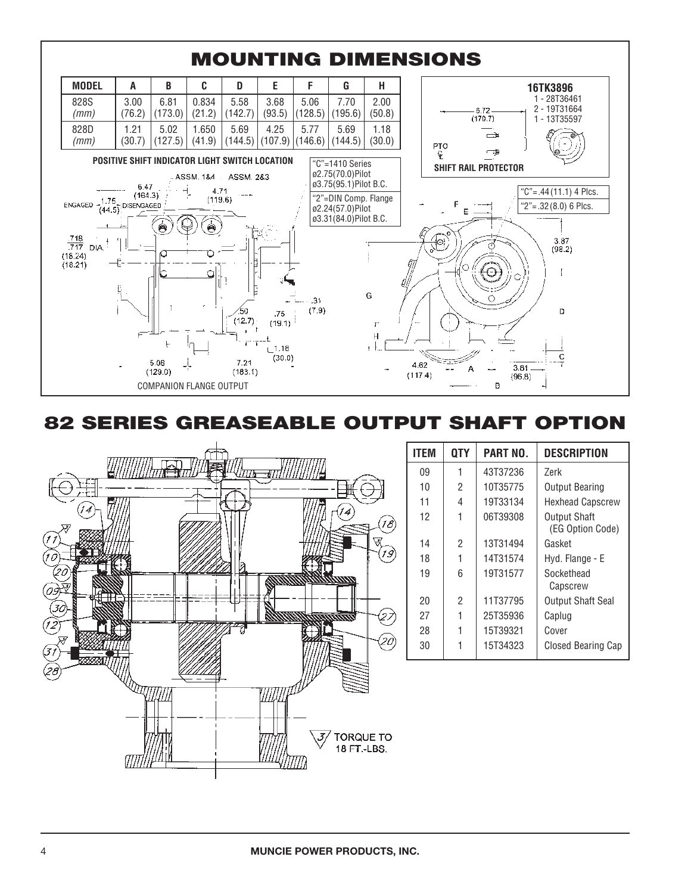

## **82 SERIES GREASEABLE OUTPUT SHAFT OPTION**



| <b>ITEM</b> | 0TY | <b>PART NO.</b> | <b>DESCRIPTION</b>                      |
|-------------|-----|-----------------|-----------------------------------------|
| 09          | 1   | 43T37236        | 7erk                                    |
| 10          | 2   | 10T35775        | <b>Output Bearing</b>                   |
| 11          | 4   | 19T33134        | <b>Hexhead Capscrew</b>                 |
| 12          |     | 06T39308        | <b>Output Shaft</b><br>(EG Option Code) |
| 14          | 2   | 13T31494        | Gasket                                  |
| 18          | 1   | 14T31574        | Hyd. Flange - E                         |
| 19          | 6   | 19T31577        | Sockethead<br>Capscrew                  |
| 20          | 2   | 11T37795        | <b>Output Shaft Seal</b>                |
| 27          |     | 25T35936        | Caplug                                  |
| 28          |     | 15T39321        | Cover                                   |
| 30          |     | 15T34323        | Closed Bearing Cap                      |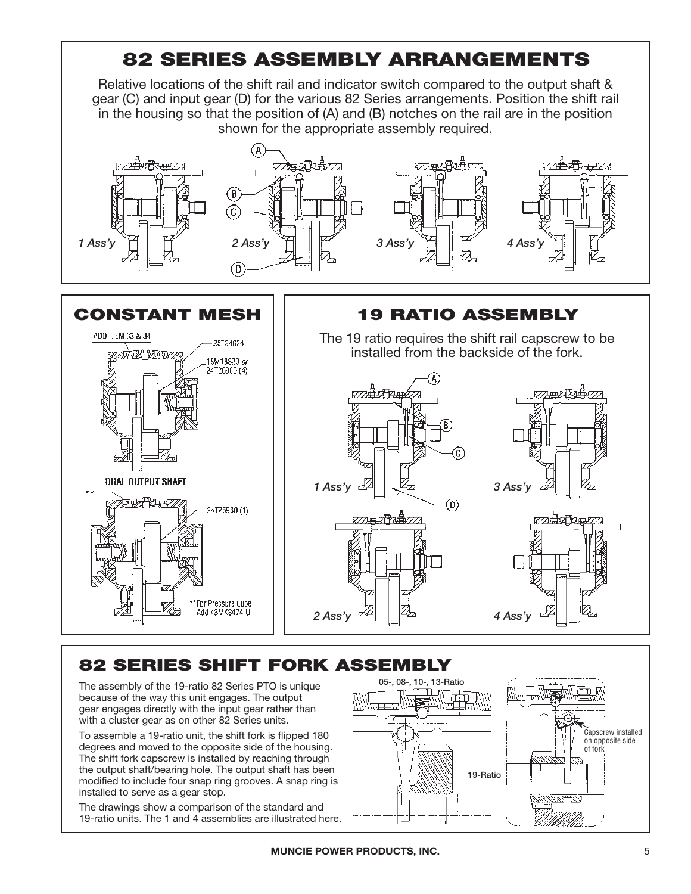

### **82 SERIES SHIFT FORK ASSEMBLY**

The assembly of the 19-ratio 82 Series PTO is unique because of the way this unit engages. The output gear engages directly with the input gear rather than with a cluster gear as on other 82 Series units.

To assemble a 19-ratio unit, the shift fork is flipped 180 degrees and moved to the opposite side of the housing. The shift fork capscrew is installed by reaching through the output shaft/bearing hole. The output shaft has been modified to include four snap ring grooves. A snap ring is installed to serve as a gear stop.

The drawings show a comparison of the standard and 19-ratio units. The 1 and 4 assemblies are illustrated here.

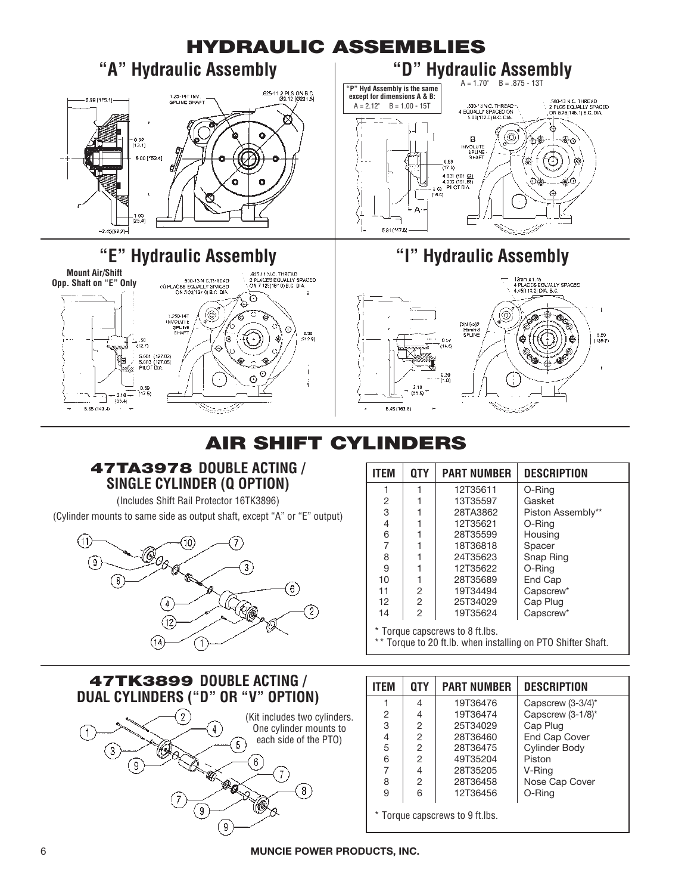

# **AIR SHIFT CYLINDERS**

#### **47TA3978 DOUBLE ACTING / SINGLE CYLINDER (Q OPTION)**

(Includes Shift Rail Protector 16TK3896)

(Cylinder mounts to same side as output shaft, except "A" or "E" output)



| <b>ITEM</b>                     | 0TY            | <b>PART NUMBER</b> | <b>DESCRIPTION</b> |  |  |
|---------------------------------|----------------|--------------------|--------------------|--|--|
| 1                               |                | 12T35611           | O-Ring             |  |  |
| 2                               |                | 13T35597           | Gasket             |  |  |
| 3                               |                | 28TA3862           | Piston Assembly**  |  |  |
| 4                               |                | 12T35621           | O-Ring             |  |  |
| 6                               |                | 28T35599           | Housing            |  |  |
| $\overline{7}$                  |                | 18T36818           | Spacer             |  |  |
| 8                               |                | 24T35623           | Snap Ring          |  |  |
| 9                               |                | 12T35622           | O-Ring             |  |  |
| 10                              |                | 28T35689           | End Cap            |  |  |
| 11                              | 2              | 19T34494           | Capscrew*          |  |  |
| 12                              | $\overline{2}$ | 25T34029           | Cap Plug           |  |  |
| 14                              | 2              | 19T35624           | Capscrew*          |  |  |
| * Torque capscrews to 8 ft.lbs. |                |                    |                    |  |  |

Torque to 20 ft.lb. when installing on PTO Shifter Shaft.



| <b>ITEM</b>                     | <b>QTY</b>     | <b>PART NUMBER</b> | <b>DESCRIPTION</b>   |  |  |  |
|---------------------------------|----------------|--------------------|----------------------|--|--|--|
|                                 | 4              | 19T36476           | Capscrew $(3-3/4)^*$ |  |  |  |
| 2                               | 4              | 19T36474           | Capscrew (3-1/8)*    |  |  |  |
| 3                               | 2              | 25T34029           | Cap Plug             |  |  |  |
| 4                               | $\overline{2}$ | 28T36460           | <b>End Cap Cover</b> |  |  |  |
| 5                               | $\overline{2}$ | 28T36475           | Cylinder Body        |  |  |  |
| 6                               | $\overline{2}$ | 49T35204           | Piston               |  |  |  |
| 7                               | 4              | 28T35205           | V-Ring               |  |  |  |
| 8                               | 2              | 28T36458           | Nose Cap Cover       |  |  |  |
| 9                               | 6              | 12T36456           | O-Ring               |  |  |  |
| * Torque capscrews to 9 ft.lbs. |                |                    |                      |  |  |  |

6 **MUNCIE POWER PRODUCTS, INC.**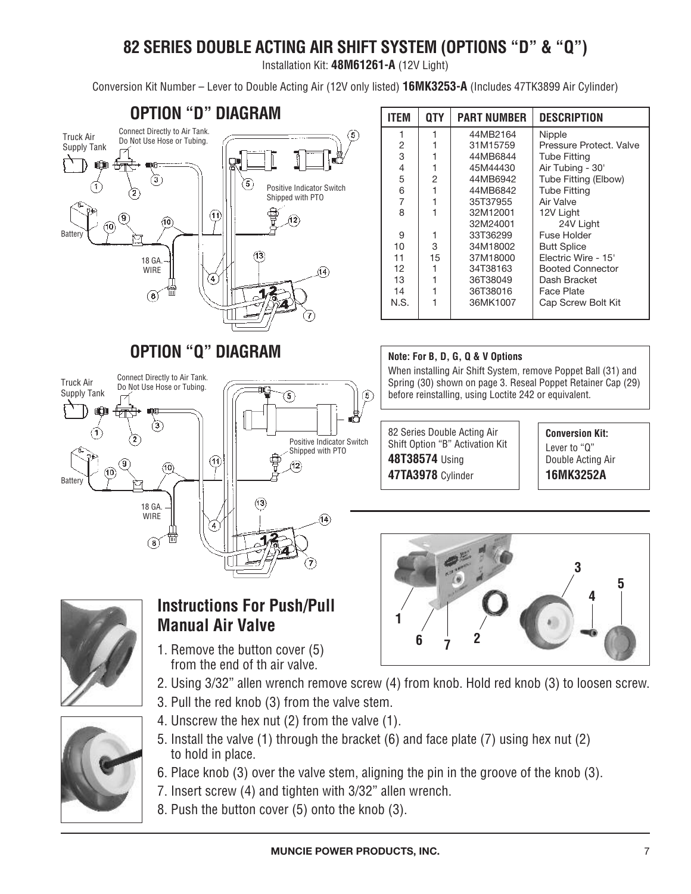# **82 SERIES DOUBLE ACTING AIR SHIFT SYSTEM (OPTIONS "D" & "Q")**

Installation Kit: **48M61261-A** (12V Light)

Conversion Kit Number – Lever to Double Acting Air (12V only listed) **16MK3253-A** (Includes 47TK3899 Air Cylinder)



- 2. Using 3/32" allen wrench remove screw (4) from knob. Hold red knob (3) to loosen screw.
- 3. Pull the red knob (3) from the valve stem.



- 4. Unscrew the hex nut (2) from the valve (1).
- 5. Install the valve (1) through the bracket (6) and face plate (7) using hex nut (2) to hold in place.
- 6. Place knob (3) over the valve stem, aligning the pin in the groove of the knob (3).
- 7. Insert screw (4) and tighten with 3/32" allen wrench.
- 8. Push the button cover (5) onto the knob (3).